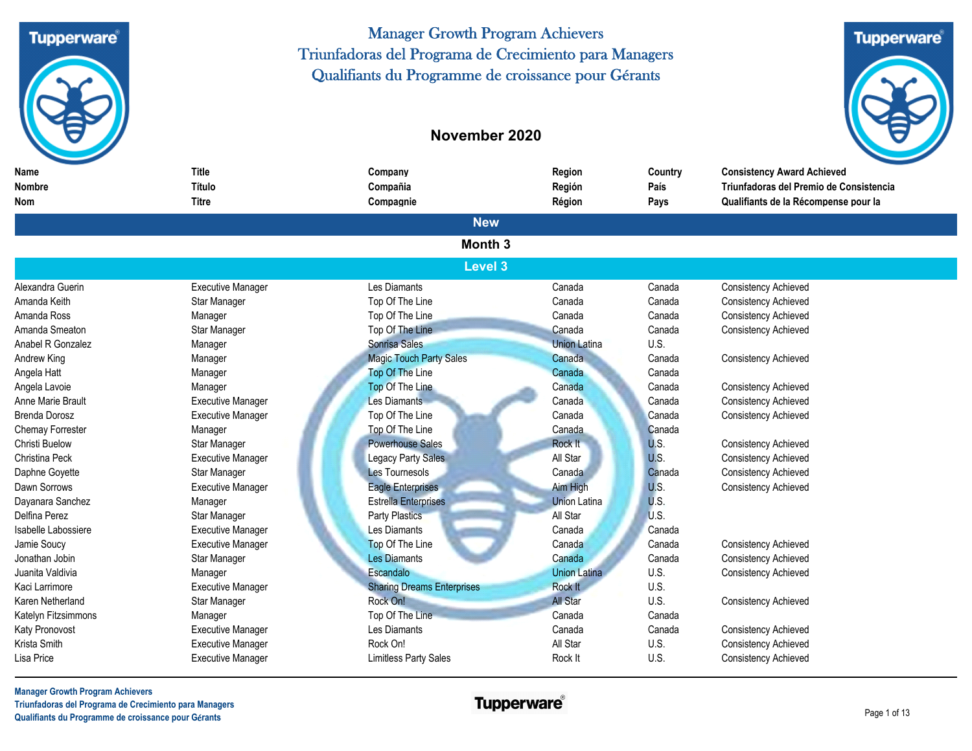

# **November 2020**

| Name<br><b>Nombre</b><br><b>Nom</b> | <b>Title</b><br>Título<br><b>Titre</b> | Company<br>Compañia<br>Compagnie  | Region<br>Región<br>Région | Country<br>País<br>Pays | <b>Consistency Award Achieved</b><br>Triunfadoras del Premio de Consistencia<br>Qualifiants de la Récompense pour la |  |  |  |  |
|-------------------------------------|----------------------------------------|-----------------------------------|----------------------------|-------------------------|----------------------------------------------------------------------------------------------------------------------|--|--|--|--|
|                                     |                                        | <b>New</b>                        |                            |                         |                                                                                                                      |  |  |  |  |
| Month <sub>3</sub>                  |                                        |                                   |                            |                         |                                                                                                                      |  |  |  |  |
|                                     |                                        | <b>Level 3</b>                    |                            |                         |                                                                                                                      |  |  |  |  |
| Alexandra Guerin                    | <b>Executive Manager</b>               | Les Diamants                      | Canada                     | Canada                  | <b>Consistency Achieved</b>                                                                                          |  |  |  |  |
| Amanda Keith                        | Star Manager                           | Top Of The Line                   | Canada                     | Canada                  | Consistency Achieved                                                                                                 |  |  |  |  |
| Amanda Ross                         | Manager                                | Top Of The Line                   | Canada                     | Canada                  | <b>Consistency Achieved</b>                                                                                          |  |  |  |  |
| Amanda Smeaton                      | Star Manager                           | Top Of The Line                   | Canada                     | Canada                  | <b>Consistency Achieved</b>                                                                                          |  |  |  |  |
| Anabel R Gonzalez                   | Manager                                | <b>Sonrisa Sales</b>              | <b>Union Latina</b>        | U.S.                    |                                                                                                                      |  |  |  |  |
| Andrew King                         | Manager                                | <b>Magic Touch Party Sales</b>    | Canada                     | Canada                  | <b>Consistency Achieved</b>                                                                                          |  |  |  |  |
| Angela Hatt                         | Manager                                | Top Of The Line                   | Canada                     | Canada                  |                                                                                                                      |  |  |  |  |
| Angela Lavoie                       | Manager                                | Top Of The Line                   | Canada                     | Canada                  | <b>Consistency Achieved</b>                                                                                          |  |  |  |  |
| Anne Marie Brault                   | <b>Executive Manager</b>               | Les Diamants                      | Canada                     | Canada                  | <b>Consistency Achieved</b>                                                                                          |  |  |  |  |
| <b>Brenda Dorosz</b>                | <b>Executive Manager</b>               | Top Of The Line                   | Canada                     | Canada                  | <b>Consistency Achieved</b>                                                                                          |  |  |  |  |
| Chemay Forrester                    | Manager                                | Top Of The Line                   | Canada                     | Canada                  |                                                                                                                      |  |  |  |  |
| <b>Christi Buelow</b>               | Star Manager                           | <b>Powerhouse Sales</b>           | <b>Rock It</b>             | U.S.                    | <b>Consistency Achieved</b>                                                                                          |  |  |  |  |
| Christina Peck                      | <b>Executive Manager</b>               | <b>Legacy Party Sales</b>         | All Star                   | U.S.                    | <b>Consistency Achieved</b>                                                                                          |  |  |  |  |
| Daphne Goyette                      | Star Manager                           | Les Tournesols                    | Canada                     | Canada                  | <b>Consistency Achieved</b>                                                                                          |  |  |  |  |
| Dawn Sorrows                        | <b>Executive Manager</b>               | <b>Eagle Enterprises</b>          | <b>Aim High</b>            | U.S.                    | <b>Consistency Achieved</b>                                                                                          |  |  |  |  |
| Dayanara Sanchez                    | Manager                                | <b>Estrella Enterprises</b>       | <b>Union Latina</b>        | U.S.                    |                                                                                                                      |  |  |  |  |
| Delfina Perez                       | Star Manager                           | <b>Party Plastics</b>             | All Star                   | U.S.                    |                                                                                                                      |  |  |  |  |
| Isabelle Labossiere                 | <b>Executive Manager</b>               | Les Diamants                      | Canada                     | Canada                  |                                                                                                                      |  |  |  |  |
| Jamie Soucy                         | <b>Executive Manager</b>               | Top Of The Line                   | Canada                     | Canada                  | <b>Consistency Achieved</b>                                                                                          |  |  |  |  |
| Jonathan Jobin                      | Star Manager                           | <b>Les Diamants</b>               | Canada                     | Canada                  | <b>Consistency Achieved</b>                                                                                          |  |  |  |  |
| Juanita Valdivia                    | Manager                                | Escandalo                         | Union Latina               | U.S.                    | <b>Consistency Achieved</b>                                                                                          |  |  |  |  |
| Kaci Larrimore                      | <b>Executive Manager</b>               | <b>Sharing Dreams Enterprises</b> | Rock It                    | U.S.                    |                                                                                                                      |  |  |  |  |
| Karen Netherland                    | Star Manager                           | Rock On!                          | <b>All Star</b>            | U.S.                    | <b>Consistency Achieved</b>                                                                                          |  |  |  |  |
| Katelyn Fitzsimmons                 | Manager                                | Top Of The Line                   | Canada                     | Canada                  |                                                                                                                      |  |  |  |  |
| Katy Pronovost                      | <b>Executive Manager</b>               | Les Diamants                      | Canada                     | Canada                  | <b>Consistency Achieved</b>                                                                                          |  |  |  |  |
| Krista Smith                        | <b>Executive Manager</b>               | Rock On!                          | All Star                   | U.S.                    | <b>Consistency Achieved</b>                                                                                          |  |  |  |  |
| Lisa Price                          | <b>Executive Manager</b>               | <b>Limitless Party Sales</b>      | Rock It                    | U.S.                    | Consistency Achieved                                                                                                 |  |  |  |  |

**Tupperware**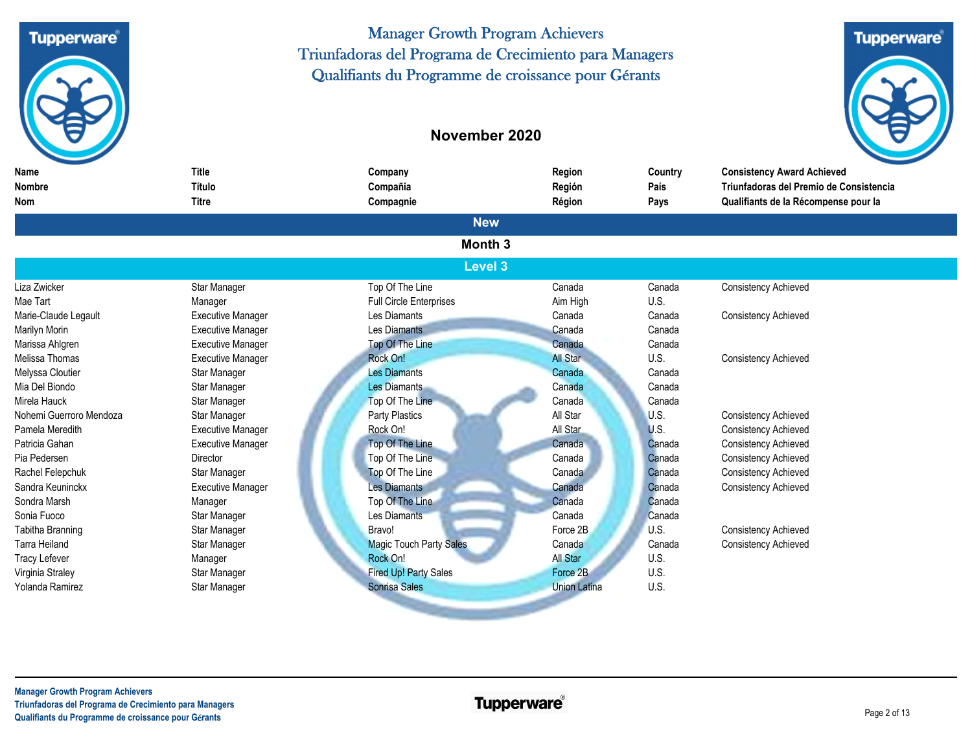

## **November 2020**



**Tupperware**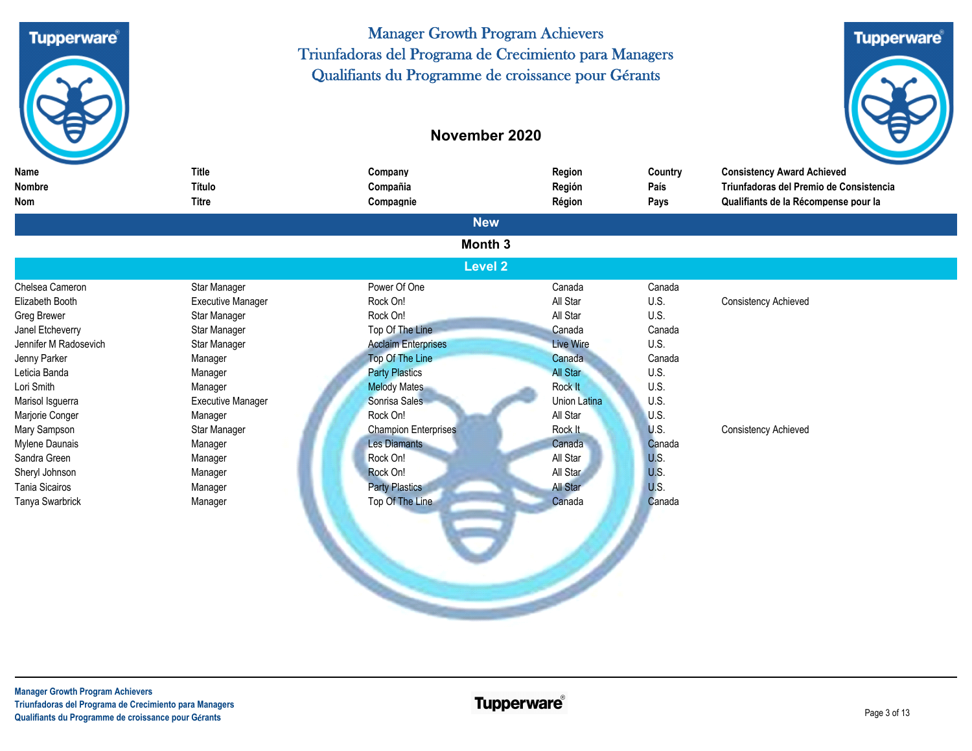

# **November 2020**



| Name<br>Nombre<br>Nom                                                                 | Title<br>Título<br><b>Titre</b>                                          | Company<br>Compañia<br>Compagnie                                                              | Region<br>Región<br>Région                                | Country<br>País<br>Pays                       | <b>Consistency Award Achieved</b><br>Triunfadoras del Premio de Consistencia<br>Qualifiants de la Récompense pour la |
|---------------------------------------------------------------------------------------|--------------------------------------------------------------------------|-----------------------------------------------------------------------------------------------|-----------------------------------------------------------|-----------------------------------------------|----------------------------------------------------------------------------------------------------------------------|
|                                                                                       |                                                                          | <b>New</b>                                                                                    |                                                           |                                               |                                                                                                                      |
|                                                                                       |                                                                          | Month 3                                                                                       |                                                           |                                               |                                                                                                                      |
|                                                                                       |                                                                          | <b>Level 2</b>                                                                                |                                                           |                                               |                                                                                                                      |
| Chelsea Cameron<br>Elizabeth Booth<br>Greg Brewer<br>Janel Etcheverry                 | Star Manager<br><b>Executive Manager</b><br>Star Manager<br>Star Manager | Power Of One<br>Rock On!<br>Rock On!<br>Top Of The Line                                       | Canada<br>All Star<br>All Star<br>Canada                  | Canada<br>U.S.<br>U.S.<br>Canada              | <b>Consistency Achieved</b>                                                                                          |
| Jennifer M Radosevich<br>Jenny Parker<br>Leticia Banda<br>Lori Smith                  | Star Manager<br>Manager<br>Manager<br>Manager                            | <b>Acclaim Enterprises</b><br>Top Of The Line<br><b>Party Plastics</b><br><b>Melody Mates</b> | <b>Live Wire</b><br>Canada<br><b>All Star</b><br>Rock It  | U.S.<br>Canada<br>U.S.<br>U.S.                |                                                                                                                      |
| Marisol Isguerra<br>Marjorie Conger<br>Mary Sampson<br>Mylene Daunais<br>Sandra Green | <b>Executive Manager</b><br>Manager<br>Star Manager<br>Manager           | Sonrisa Sales<br>Rock On!<br><b>Champion Enterprises</b><br>Les Diamants<br>Rock On!          | Union Latina<br>All Star<br>Rock It<br>Canada<br>All Star | U.S.<br>U.S.<br>U.S.<br>Canada<br><b>U.S.</b> | Consistency Achieved                                                                                                 |
| Sheryl Johnson<br><b>Tania Sicairos</b><br>Tanya Swarbrick                            | Manager<br>Manager<br>Manager<br>Manager                                 | Rock On!<br><b>Party Plastics</b><br>Top Of The Line                                          | All Star<br><b>All Star</b><br>Canada                     | U.S.<br><b>U.S.</b><br>Canada                 |                                                                                                                      |
|                                                                                       |                                                                          |                                                                                               |                                                           |                                               |                                                                                                                      |

<u>a shekara ta 1991 yil asaliy karata ta 1991 yil asaliy karata ta 1991 yil asaliy karata ta 1991 yil asaliy ka</u>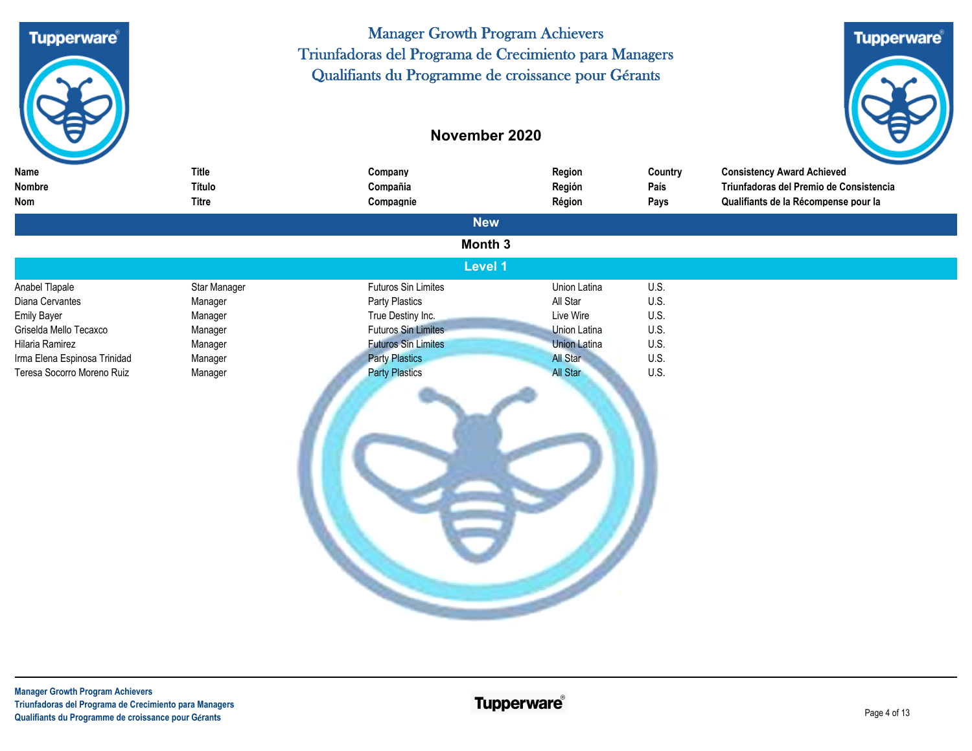

# **November 2020**



| Name                         | <b>Title</b> | Company                    | Region              | Country | <b>Consistency Award Achieved</b>       |
|------------------------------|--------------|----------------------------|---------------------|---------|-----------------------------------------|
| Nombre                       | Título       | Compañia                   | Región              | País    | Triunfadoras del Premio de Consistencia |
| Nom                          | <b>Titre</b> | Compagnie                  | Région              | Pays    | Qualifiants de la Récompense pour la    |
|                              |              | <b>New</b>                 |                     |         |                                         |
|                              |              | Month 3                    |                     |         |                                         |
|                              |              | Level 1                    |                     |         |                                         |
| Anabel Tlapale               | Star Manager | Futuros Sin Limites        | Union Latina        | U.S.    |                                         |
| Diana Cervantes              | Manager      | Party Plastics             | All Star            | U.S.    |                                         |
| <b>Emily Bayer</b>           | Manager      | True Destiny Inc.          | Live Wire           | U.S.    |                                         |
| Griselda Mello Tecaxco       | Manager      | <b>Futuros Sin Limites</b> | <b>Union Latina</b> | U.S.    |                                         |
| Hilaria Ramirez              | Manager      | <b>Futuros Sin Limites</b> | <b>Union Latina</b> | U.S.    |                                         |
| Irma Elena Espinosa Trinidad | Manager      | <b>Party Plastics</b>      | All Star            | U.S.    |                                         |
| Teresa Socorro Moreno Ruiz   | Manager      | <b>Party Plastics</b>      | <b>All Star</b>     | U.S.    |                                         |
|                              |              |                            |                     |         |                                         |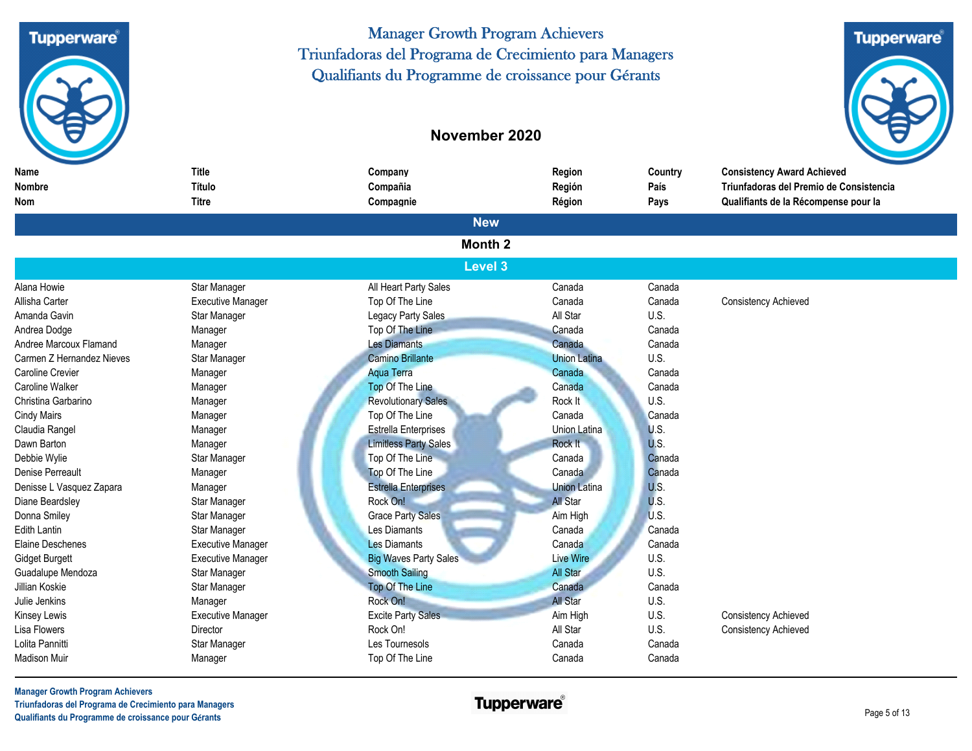**Tupperware** 

Manager Growth Program Achievers Triunfadoras del Programa de Crecimiento para Managers Qualifiants du Programme de croissance pour Gérants



| <b>Name</b>               | <b>Title</b>             | Company                      | Region              | Country | <b>Consistency Award Achieved</b>       |  |
|---------------------------|--------------------------|------------------------------|---------------------|---------|-----------------------------------------|--|
| <b>Nombre</b>             | <b>Título</b>            | Compañia                     | Región              | País    | Triunfadoras del Premio de Consistencia |  |
| <b>Nom</b>                | <b>Titre</b>             | Compagnie                    | Région              | Pays    | Qualifiants de la Récompense pour la    |  |
|                           |                          | <b>New</b>                   |                     |         |                                         |  |
|                           |                          | Month <sub>2</sub>           |                     |         |                                         |  |
|                           |                          | <b>Level 3</b>               |                     |         |                                         |  |
| Alana Howie               | Star Manager             | All Heart Party Sales        | Canada              | Canada  |                                         |  |
| Allisha Carter            | <b>Executive Manager</b> | Top Of The Line              | Canada              | Canada  | <b>Consistency Achieved</b>             |  |
| Amanda Gavin              | Star Manager             | Legacy Party Sales           | All Star            | U.S.    |                                         |  |
| Andrea Dodge              | Manager                  | Top Of The Line              | Canada              | Canada  |                                         |  |
| Andree Marcoux Flamand    | Manager                  | <b>Les Diamants</b>          | Canada              | Canada  |                                         |  |
| Carmen Z Hernandez Nieves | Star Manager             | <b>Camino Brillante</b>      | <b>Union Latina</b> | U.S.    |                                         |  |
| Caroline Crevier          | Manager                  | <b>Aqua Terra</b>            | Canada              | Canada  |                                         |  |
| <b>Caroline Walker</b>    | Manager                  | Top Of The Line              | Canada              | Canada  |                                         |  |
| Christina Garbarino       | Manager                  | <b>Revolutionary Sales</b>   | Rock It             | U.S.    |                                         |  |
| <b>Cindy Mairs</b>        | Manager                  | Top Of The Line              | Canada              | Canada  |                                         |  |
| Claudia Rangel            | Manager                  | <b>Estrella Enterprises</b>  | <b>Union Latina</b> | U.S.    |                                         |  |
| Dawn Barton               | Manager                  | <b>Limitless Party Sales</b> | <b>Rock It</b>      | U.S.    |                                         |  |
| Debbie Wylie              | Star Manager             | Top Of The Line              | Canada              | Canada  |                                         |  |
| <b>Denise Perreault</b>   | Manager                  | Top Of The Line              | Canada              | Canada  |                                         |  |
| Denisse L Vasquez Zapara  | Manager                  | <b>Estrella Enterprises</b>  | <b>Union Latina</b> | U.S.    |                                         |  |
| Diane Beardsley           | Star Manager             | Rock On!                     | <b>All Star</b>     | U.S.    |                                         |  |
| Donna Smiley              | Star Manager             | <b>Grace Party Sales</b>     | Aim High            | U.S.    |                                         |  |
| <b>Edith Lantin</b>       | Star Manager             | Les Diamants                 | Canada              | Canada  |                                         |  |
| Elaine Deschenes          | <b>Executive Manager</b> | <b>Les Diamants</b>          | Canada              | Canada  |                                         |  |
| <b>Gidget Burgett</b>     | <b>Executive Manager</b> | <b>Big Waves Party Sales</b> | <b>Live Wire</b>    | U.S.    |                                         |  |
| Guadalupe Mendoza         | Star Manager             | <b>Smooth Sailing</b>        | <b>All Star</b>     | U.S.    |                                         |  |
| Jillian Koskie            | Star Manager             | <b>Top Of The Line</b>       | Canada              | Canada  |                                         |  |
| Julie Jenkins             | Manager                  | Rock On!                     | <b>All Star</b>     | U.S.    |                                         |  |
| Kinsey Lewis              | <b>Executive Manager</b> | <b>Excite Party Sales</b>    | Aim High            | U.S.    | <b>Consistency Achieved</b>             |  |
| <b>Lisa Flowers</b>       | Director                 | Rock On!                     | All Star            | U.S.    | <b>Consistency Achieved</b>             |  |
| Lolita Pannitti           | Star Manager             | Les Tournesols               | Canada              | Canada  |                                         |  |
| <b>Madison Muir</b>       | Manager                  | Top Of The Line              | Canada              | Canada  |                                         |  |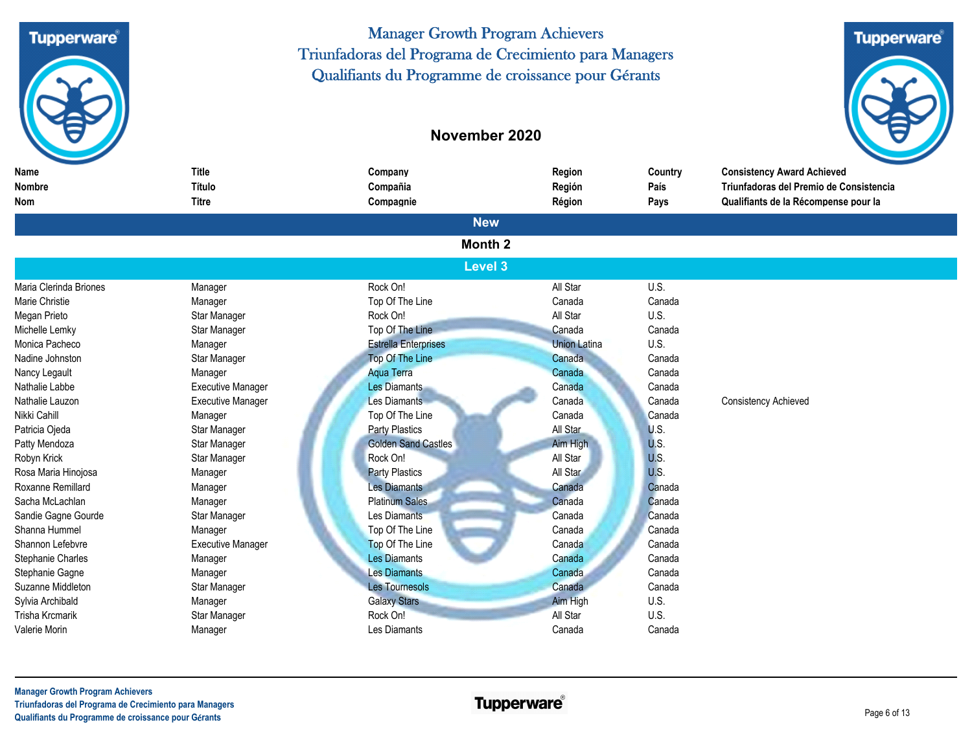



| Name                   | <b>Title</b>             | Company                     | Region              | Country     | <b>Consistency Award Achieved</b>       |
|------------------------|--------------------------|-----------------------------|---------------------|-------------|-----------------------------------------|
| <b>Nombre</b>          | Título                   | Compañia                    | Región              | País        | Triunfadoras del Premio de Consistencia |
| Nom                    | <b>Titre</b>             | Compagnie                   | Région              | Pays        | Qualifiants de la Récompense pour la    |
|                        |                          | <b>New</b>                  |                     |             |                                         |
|                        |                          | Month <sub>2</sub>          |                     |             |                                         |
|                        |                          | <b>Level 3</b>              |                     |             |                                         |
| Maria Clerinda Briones | Manager                  | Rock On!                    | All Star            | U.S.        |                                         |
| Marie Christie         | Manager                  | Top Of The Line             | Canada              | Canada      |                                         |
| Megan Prieto           | Star Manager             | Rock On!                    | All Star            | U.S.        |                                         |
| Michelle Lemky         | Star Manager             | Top Of The Line             | Canada              | Canada      |                                         |
| Monica Pacheco         | Manager                  | <b>Estrella Enterprises</b> | <b>Union Latina</b> | U.S.        |                                         |
| Nadine Johnston        | Star Manager             | <b>Top Of The Line</b>      | Canada              | Canada      |                                         |
| Nancy Legault          | Manager                  | <b>Aqua Terra</b>           | Canada              | Canada      |                                         |
| Nathalie Labbe         | <b>Executive Manager</b> | Les Diamants                | Canada              | Canada      |                                         |
| Nathalie Lauzon        | <b>Executive Manager</b> | Les Diamants                | Canada              | Canada      | <b>Consistency Achieved</b>             |
| Nikki Cahill           | Manager                  | Top Of The Line             | Canada              | Canada      |                                         |
| Patricia Ojeda         | Star Manager             | <b>Party Plastics</b>       | All Star            | <b>U.S.</b> |                                         |
| Patty Mendoza          | Star Manager             | <b>Golden Sand Castles</b>  | Aim High            | <b>U.S.</b> |                                         |
| Robyn Krick            | Star Manager             | Rock On!                    | All Star            | <b>U.S.</b> |                                         |
| Rosa Maria Hinojosa    | Manager                  | <b>Party Plastics</b>       | All Star            | U.S.        |                                         |
| Roxanne Remillard      | Manager                  | <b>Les Diamants</b>         | Canada              | Canada      |                                         |
| Sacha McLachlan        | Manager                  | <b>Platinum Sales</b>       | Canada              | Canada      |                                         |
| Sandie Gagne Gourde    | Star Manager             | Les Diamants                | Canada              | Canada      |                                         |
| Shanna Hummel          | Manager                  | Top Of The Line             | Canada              | Canada      |                                         |
| Shannon Lefebvre       | <b>Executive Manager</b> | Top Of The Line             | Canada              | Canada      |                                         |
| Stephanie Charles      | Manager                  | <b>Les Diamants</b>         | Canada              | Canada      |                                         |
| Stephanie Gagne        | Manager                  | <b>Les Diamants</b>         | Canada              | Canada      |                                         |
| Suzanne Middleton      | Star Manager             | <b>Les Tournesols</b>       | Canada              | Canada      |                                         |
| Sylvia Archibald       | Manager                  | <b>Galaxy Stars</b>         | Aim High            | U.S.        |                                         |
| <b>Trisha Krcmarik</b> | Star Manager             | Rock On!                    | All Star            | U.S.        |                                         |
| Valerie Morin          | Manager                  | Les Diamants                | Canada              | Canada      |                                         |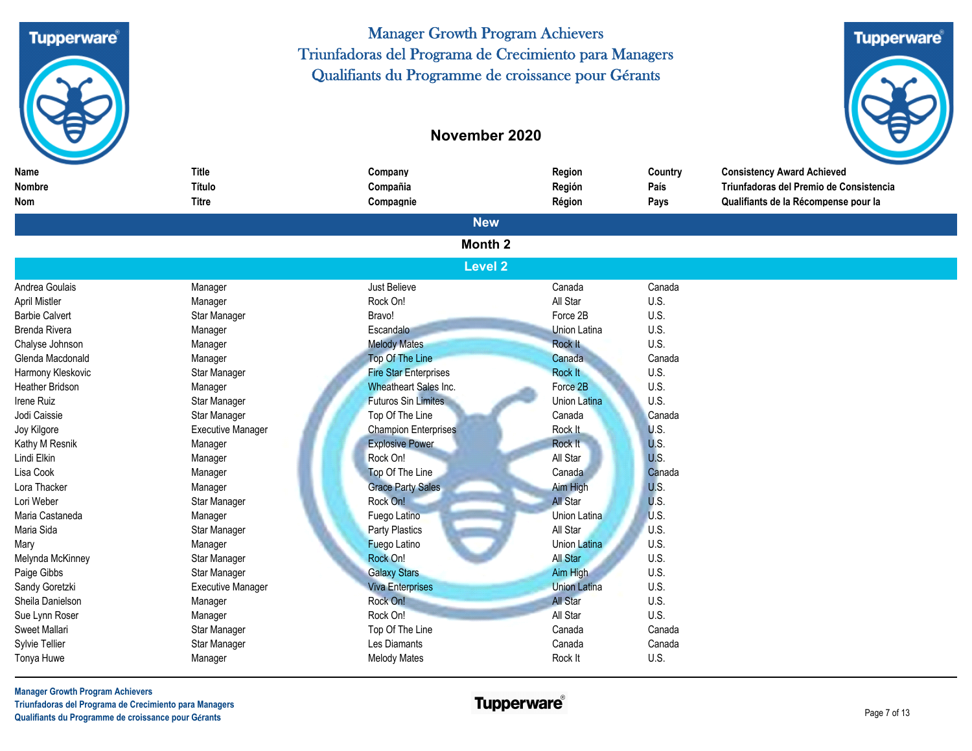



| <b>Name</b>            | Title                    | Company                      | Region              | Country     | <b>Consistency Award Achieved</b>       |
|------------------------|--------------------------|------------------------------|---------------------|-------------|-----------------------------------------|
| <b>Nombre</b>          | Título                   | Compañia                     | Región              | País        | Triunfadoras del Premio de Consistencia |
| Nom                    | <b>Titre</b>             | Compagnie                    | Région              | Pays        | Qualifiants de la Récompense pour la    |
|                        |                          | <b>New</b>                   |                     |             |                                         |
|                        |                          | Month <sub>2</sub>           |                     |             |                                         |
|                        |                          | <b>Level 2</b>               |                     |             |                                         |
| Andrea Goulais         | Manager                  | Just Believe                 | Canada              | Canada      |                                         |
| <b>April Mistler</b>   | Manager                  | Rock On!                     | All Star            | U.S.        |                                         |
| <b>Barbie Calvert</b>  | Star Manager             | Bravo!                       | Force 2B            | U.S.        |                                         |
| Brenda Rivera          | Manager                  | Escandalo                    | <b>Union Latina</b> | U.S.        |                                         |
| Chalyse Johnson        | Manager                  | <b>Melody Mates</b>          | <b>Rock It</b>      | U.S.        |                                         |
| Glenda Macdonald       | Manager                  | Top Of The Line              | Canada              | Canada      |                                         |
| Harmony Kleskovic      | Star Manager             | <b>Fire Star Enterprises</b> | Rock It             | U.S.        |                                         |
| <b>Heather Bridson</b> | Manager                  | Wheatheart Sales Inc.        | Force 2B            | U.S.        |                                         |
| Irene Ruiz             | Star Manager             | <b>Futuros Sin Limites</b>   | Union Latina        | U.S.        |                                         |
| Jodi Caissie           | Star Manager             | Top Of The Line              | Canada              | Canada      |                                         |
| Joy Kilgore            | <b>Executive Manager</b> | <b>Champion Enterprises</b>  | Rock It             | U.S.        |                                         |
| Kathy M Resnik         | Manager                  | <b>Explosive Power</b>       | Rock It             | <b>U.S.</b> |                                         |
| Lindi Elkin            | Manager                  | Rock On!                     | All Star            | U.S.        |                                         |
| Lisa Cook              | Manager                  | Top Of The Line              | Canada              | Canada      |                                         |
| Lora Thacker           | Manager                  | <b>Grace Party Sales</b>     | Aim High            | U.S.        |                                         |
| Lori Weber             | Star Manager             | Rock On!                     | <b>All Star</b>     | U.S.        |                                         |
| Maria Castaneda        | Manager                  | Fuego Latino                 | Union Latina        | <b>U.S.</b> |                                         |
| Maria Sida             | Star Manager             | <b>Party Plastics</b>        | All Star            | U.S.        |                                         |
| Mary                   | Manager                  | <b>Fuego Latino</b>          | <b>Union Latina</b> | U.S.        |                                         |
| Melynda McKinney       | Star Manager             | Rock On!                     | <b>All Star</b>     | U.S.        |                                         |
| Paige Gibbs            | Star Manager             | <b>Galaxy Stars</b>          | Aim High            | U.S.        |                                         |
| Sandy Goretzki         | <b>Executive Manager</b> | <b>Viva Enterprises</b>      | <b>Union Latina</b> | U.S.        |                                         |
| Sheila Danielson       | Manager                  | Rock On!                     | <b>All Star</b>     | U.S.        |                                         |
| Sue Lynn Roser         | Manager                  | Rock On!                     | All Star            | U.S.        |                                         |
| Sweet Mallari          | Star Manager             | Top Of The Line              | Canada              | Canada      |                                         |
| Sylvie Tellier         | Star Manager             | Les Diamants                 | Canada              | Canada      |                                         |
| Tonya Huwe             | Manager                  | <b>Melody Mates</b>          | Rock It             | U.S.        |                                         |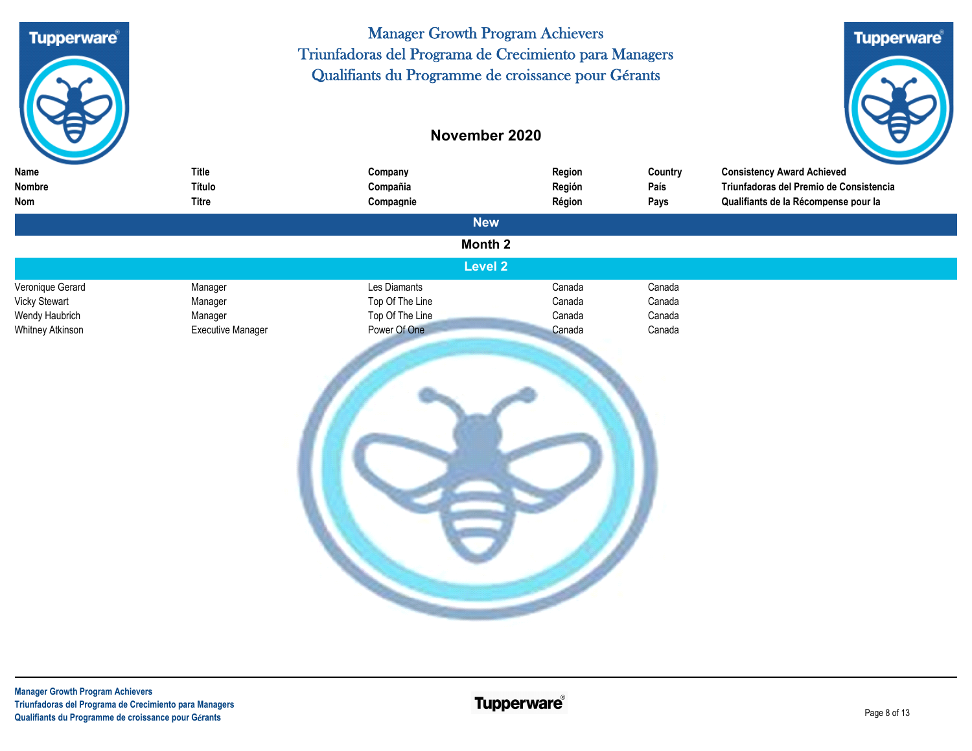



| Name                 | <b>Title</b>      | Company         | Region | Country | <b>Consistency Award Achieved</b>       |  |  |  |  |
|----------------------|-------------------|-----------------|--------|---------|-----------------------------------------|--|--|--|--|
| Nombre               | Título            | Compañia        | Región | País    | Triunfadoras del Premio de Consistencia |  |  |  |  |
| Nom                  | <b>Titre</b>      | Compagnie       | Région | Pays    | Qualifiants de la Récompense pour la    |  |  |  |  |
|                      |                   | <b>New</b>      |        |         |                                         |  |  |  |  |
|                      | Month 2           |                 |        |         |                                         |  |  |  |  |
|                      |                   | Level 2         |        |         |                                         |  |  |  |  |
| Veronique Gerard     | Manager           | Les Diamants    | Canada | Canada  |                                         |  |  |  |  |
| <b>Vicky Stewart</b> | Manager           | Top Of The Line | Canada | Canada  |                                         |  |  |  |  |
| Wendy Haubrich       | Manager           | Top Of The Line | Canada | Canada  |                                         |  |  |  |  |
| Whitney Atkinson     | Executive Manager | Power Of One    | Canada | Canada  |                                         |  |  |  |  |
|                      |                   |                 |        |         |                                         |  |  |  |  |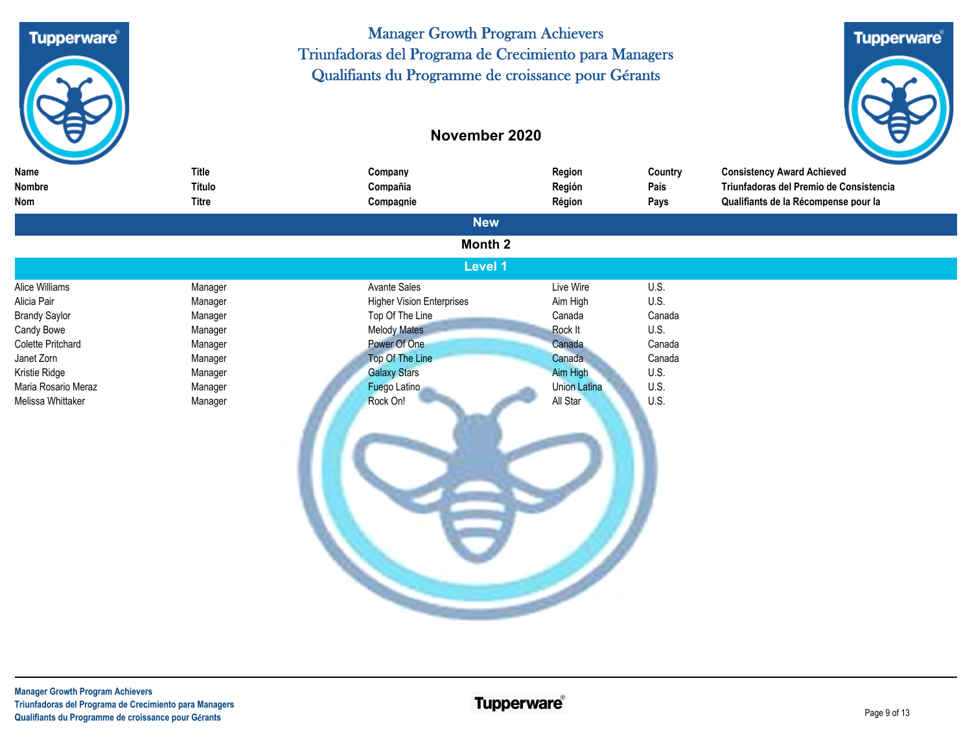

## **November 2020**



| Name                     | <b>Title</b> | Company                          | Region              | Country | <b>Consistency Award Achieved</b>       |
|--------------------------|--------------|----------------------------------|---------------------|---------|-----------------------------------------|
| Nombre                   | Título       | Compañia                         | Región              | País    | Triunfadoras del Premio de Consistencia |
| Nom                      | <b>Titre</b> | Compagnie                        | Région              | Pays    | Qualifiants de la Récompense pour la    |
|                          |              | <b>New</b>                       |                     |         |                                         |
|                          |              | Month 2                          |                     |         |                                         |
|                          |              | Level 1                          |                     |         |                                         |
| Alice Williams           | Manager      | <b>Avante Sales</b>              | Live Wire           | U.S.    |                                         |
| Alicia Pair              | Manager      | <b>Higher Vision Enterprises</b> | Aim High            | U.S.    |                                         |
| <b>Brandy Saylor</b>     | Manager      | Top Of The Line                  | Canada              | Canada  |                                         |
| <b>Candy Bowe</b>        | Manager      | <b>Melody Mates</b>              | Rock It             | U.S.    |                                         |
| <b>Colette Pritchard</b> | Manager      | Power Of One                     | Canada              | Canada  |                                         |
| Janet Zorn               | Manager      | Top Of The Line                  | Canada              | Canada  |                                         |
| Kristie Ridge            | Manager      | <b>Galaxy Stars</b>              | Aim High            | U.S.    |                                         |
| Maria Rosario Meraz      | Manager      | Fuego Latino                     | <b>Union Latina</b> | U.S.    |                                         |
| Melissa Whittaker        | Manager      | Rock On!                         | All Star            | U.S.    |                                         |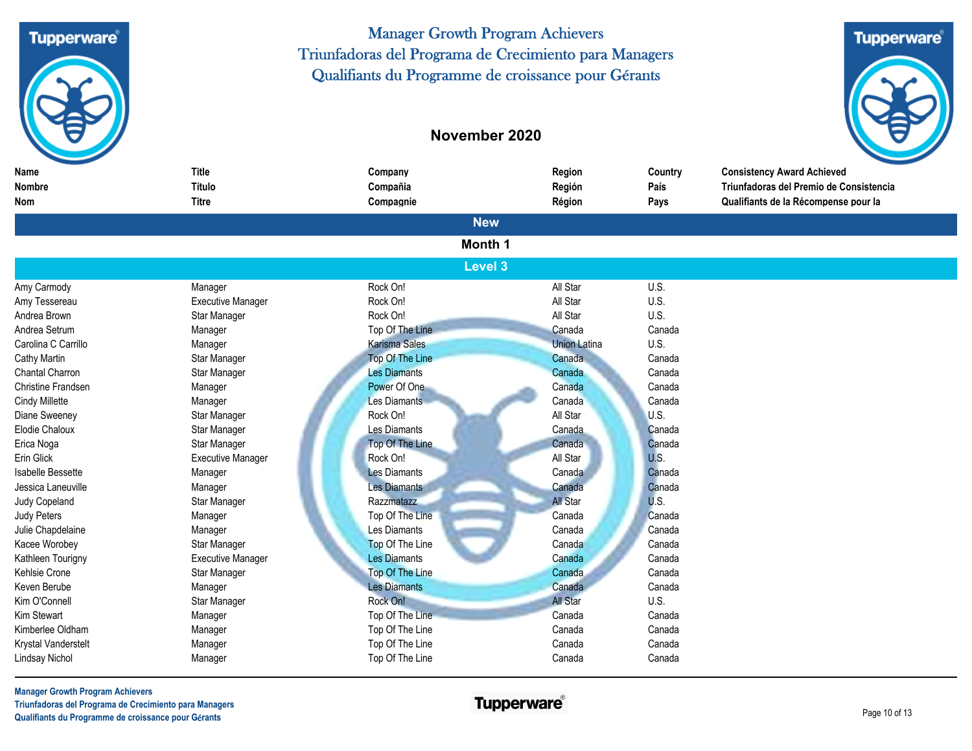**Tupperware** 

Manager Growth Program Achievers Triunfadoras del Programa de Crecimiento para Managers Qualifiants du Programme de croissance pour Gérants

## **November 2020**



| <b>Title</b><br>Name<br>Company<br>Region<br>Country<br><b>Consistency Award Achieved</b>  |                                         |
|--------------------------------------------------------------------------------------------|-----------------------------------------|
| <b>Nombre</b><br>Título<br>Compañia<br>Región<br>País                                      | Triunfadoras del Premio de Consistencia |
| Qualifiants de la Récompense pour la<br><b>Titre</b><br>Compagnie<br>Pays<br>Nom<br>Région |                                         |
| <b>New</b>                                                                                 |                                         |
| Month 1                                                                                    |                                         |
| <b>Level 3</b>                                                                             |                                         |
|                                                                                            |                                         |
| Rock On!<br>All Star<br>U.S.<br>Amy Carmody<br>Manager                                     |                                         |
| Rock On!<br>All Star<br>U.S.<br><b>Executive Manager</b><br>Amy Tessereau                  |                                         |
| All Star<br>U.S.<br>Andrea Brown<br>Rock On!<br>Star Manager                               |                                         |
| Andrea Setrum<br>Canada<br>Canada<br>Top Of The Line<br>Manager                            |                                         |
| U.S.<br><b>Karisma Sales</b><br><b>Union Latina</b><br>Carolina C Carrillo<br>Manager      |                                         |
| Top Of The Line<br>Canada<br>Cathy Martin<br>Canada<br>Star Manager                        |                                         |
| <b>Les Diamants</b><br>Chantal Charron<br>Canada<br>Star Manager<br>Canada                 |                                         |
| Power Of One<br>Canada<br><b>Christine Frandsen</b><br>Canada<br>Manager                   |                                         |
| Les Diamants<br>Canada<br><b>Cindy Millette</b><br>Canada<br>Manager                       |                                         |
| All Star<br>Rock On!<br><b>U.S.</b><br>Diane Sweeney<br>Star Manager                       |                                         |
| Elodie Chaloux<br>Star Manager<br>Les Diamants<br>Canada<br>Canada                         |                                         |
| Star Manager<br>Top Of The Line<br>Canada<br>Erica Noga<br>Canada                          |                                         |
| U.S.<br>Erin Glick<br><b>Executive Manager</b><br>Rock On!<br>All Star                     |                                         |
| <b>Les Diamants</b><br>Canada<br><b>Isabelle Bessette</b><br>Canada<br>Manager             |                                         |
| <b>Les Diamants</b><br>Jessica Laneuville<br>Canada<br>Canada<br>Manager                   |                                         |
| <b>All Star</b><br>U.S.<br>Judy Copeland<br>Razzmatazz<br>Star Manager                     |                                         |
| Top Of The Line<br>Judy Peters<br>Canada<br>Canada<br>Manager                              |                                         |
| Les Diamants<br>Canada<br>Canada<br>Julie Chapdelaine<br>Manager                           |                                         |
| Top Of The Line<br>Canada<br>Kacee Worobey<br>Star Manager<br>Canada                       |                                         |
| <b>Les Diamants</b><br><b>Executive Manager</b><br>Canada<br>Canada<br>Kathleen Tourigny   |                                         |
| <b>Top Of The Line</b><br>Kehlsie Crone<br>Star Manager<br>Canada<br>Canada                |                                         |
| <b>Les Diamants</b><br>Keven Berube<br>Canada<br>Canada<br>Manager                         |                                         |
| Rock On!<br><b>All Star</b><br>Kim O'Connell<br>U.S.<br>Star Manager                       |                                         |
| Kim Stewart<br>Top Of The Line<br>Canada<br>Canada<br>Manager                              |                                         |
| Canada<br>Kimberlee Oldham<br>Top Of The Line<br>Canada<br>Manager                         |                                         |
| Canada<br>Krystal Vanderstelt<br>Top Of The Line<br>Canada<br>Manager                      |                                         |
| Top Of The Line<br>Canada<br><b>Lindsay Nichol</b><br>Canada<br>Manager                    |                                         |

**Manager Growth Program Achievers Triunfadoras del Programa de Crecimiento para Managers** Triunfadoras del Programa de Crecimiento para Managers<br>
Qualifiants du Programme de croissance pour Gérants<br>
Qualifiants du Programme de croissance pour Gérants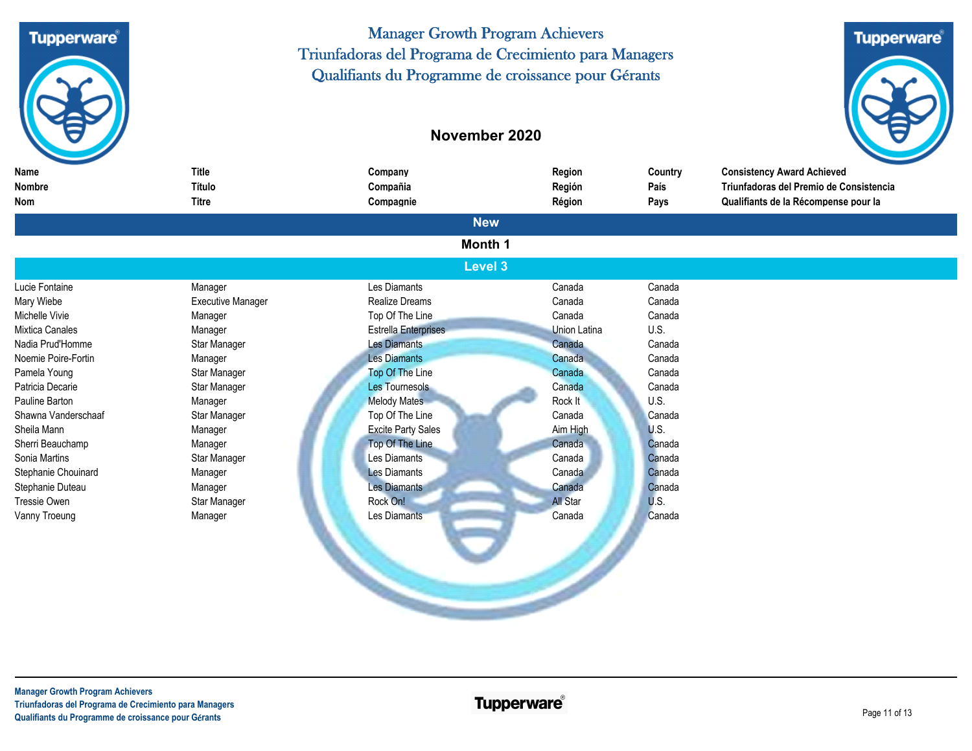

# **November 2020**



| Name<br>Nombre         | Title<br>Título          | Company<br>Compañia         | Region<br>Región    | Country<br>País | <b>Consistency Award Achieved</b><br>Triunfadoras del Premio de Consistencia |
|------------------------|--------------------------|-----------------------------|---------------------|-----------------|------------------------------------------------------------------------------|
| Nom                    | Titre                    | Compagnie                   | Région              | Pays            | Qualifiants de la Récompense pour la                                         |
|                        |                          | <b>New</b>                  |                     |                 |                                                                              |
|                        |                          | Month 1                     |                     |                 |                                                                              |
|                        |                          | <b>Level 3</b>              |                     |                 |                                                                              |
| Lucie Fontaine         | Manager                  | Les Diamants                | Canada              | Canada          |                                                                              |
| Mary Wiebe             | <b>Executive Manager</b> | <b>Realize Dreams</b>       | Canada              | Canada          |                                                                              |
| Michelle Vivie         | Manager                  | Top Of The Line             | Canada              | Canada          |                                                                              |
| <b>Mixtica Canales</b> | Manager                  | <b>Estrella Enterprises</b> | <b>Union Latina</b> | U.S.            |                                                                              |
| Nadia Prud'Homme       | Star Manager             | Les Diamants                | Canada              | Canada          |                                                                              |
| Noemie Poire-Fortin    | Manager                  | <b>Les Diamants</b>         | Canada              | Canada          |                                                                              |
| Pamela Young           | Star Manager             | Top Of The Line             | Canada              | Canada          |                                                                              |
| Patricia Decarie       | Star Manager             | Les Tournesols              | Canada              | Canada          |                                                                              |
| Pauline Barton         | Manager                  | <b>Melody Mates</b>         | Rock It             | U.S.            |                                                                              |
| Shawna Vanderschaaf    | Star Manager             | Top Of The Line             | Canada              | Canada          |                                                                              |
| Sheila Mann            | Manager                  | <b>Excite Party Sales</b>   | Aim High            | U.S.            |                                                                              |
| Sherri Beauchamp       | Manager                  | Top Of The Line             | Canada              | Canada          |                                                                              |
| Sonia Martins          | Star Manager             | Les Diamants                | Canada              | Canada          |                                                                              |
| Stephanie Chouinard    | Manager                  | <b>Les Diamants</b>         | Canada              | Canada          |                                                                              |
| Stephanie Duteau       | Manager                  | <b>Les Diamants</b>         | Canada              | Canada          |                                                                              |
| Tressie Owen           | Star Manager             | Rock On!                    | <b>All Star</b>     | U.S.            |                                                                              |
| Vanny Troeung          | Manager                  | Les Diamants                | Canada              | Canada          |                                                                              |
|                        |                          |                             |                     |                 |                                                                              |
|                        |                          |                             |                     |                 |                                                                              |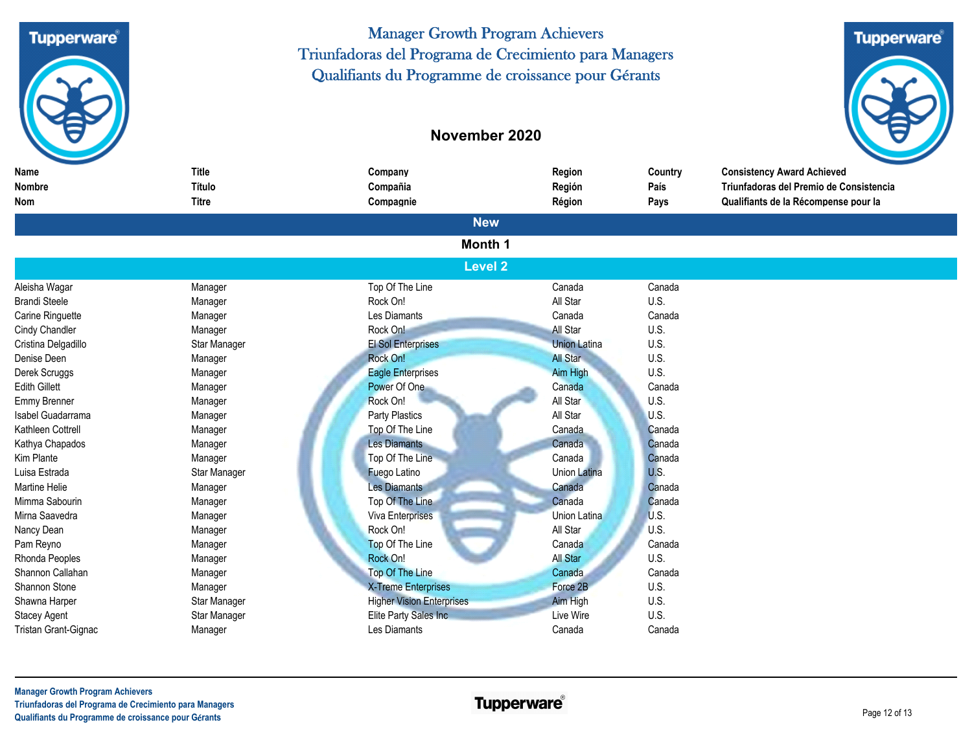



| Name<br><b>Nombre</b> | <b>Title</b><br>Título | Company<br>Compañia              | Region              | Country<br>País | <b>Consistency Award Achieved</b><br>Triunfadoras del Premio de Consistencia |
|-----------------------|------------------------|----------------------------------|---------------------|-----------------|------------------------------------------------------------------------------|
|                       |                        |                                  | Región              |                 |                                                                              |
| Nom                   | <b>Titre</b>           | Compagnie                        | Région              | Pays            | Qualifiants de la Récompense pour la                                         |
|                       |                        | <b>New</b>                       |                     |                 |                                                                              |
|                       |                        | Month 1                          |                     |                 |                                                                              |
|                       |                        | <b>Level 2</b>                   |                     |                 |                                                                              |
| Aleisha Wagar         | Manager                | Top Of The Line                  | Canada              | Canada          |                                                                              |
| <b>Brandi Steele</b>  | Manager                | Rock On!                         | All Star            | U.S.            |                                                                              |
| Carine Ringuette      | Manager                | Les Diamants                     | Canada              | Canada          |                                                                              |
| Cindy Chandler        | Manager                | Rock On!                         | <b>All Star</b>     | U.S.            |                                                                              |
| Cristina Delgadillo   | Star Manager           | <b>El Sol Enterprises</b>        | <b>Union Latina</b> | U.S.            |                                                                              |
| Denise Deen           | Manager                | Rock On!                         | <b>All Star</b>     | U.S.            |                                                                              |
| Derek Scruggs         | Manager                | <b>Eagle Enterprises</b>         | <b>Aim High</b>     | U.S.            |                                                                              |
| <b>Edith Gillett</b>  | Manager                | Power Of One                     | Canada              | Canada          |                                                                              |
| Emmy Brenner          | Manager                | Rock On!                         | All Star            | U.S.            |                                                                              |
| Isabel Guadarrama     | Manager                | Party Plastics                   | All Star            | U.S.            |                                                                              |
| Kathleen Cottrell     | Manager                | Top Of The Line                  | Canada              | Canada          |                                                                              |
| Kathya Chapados       | Manager                | Les Diamants                     | Canada              | Canada          |                                                                              |
| Kim Plante            | Manager                | Top Of The Line                  | Canada              | Canada          |                                                                              |
| Luisa Estrada         | Star Manager           | <b>Fuego Latino</b>              | <b>Union Latina</b> | U.S.            |                                                                              |
| <b>Martine Helie</b>  | Manager                | <b>Les Diamants</b>              | Canada              | Canada          |                                                                              |
| Mimma Sabourin        | Manager                | Top Of The Line                  | Canada              | Canada          |                                                                              |
| Mirna Saavedra        | Manager                | <b>Viva Enterprises</b>          | <b>Union Latina</b> | <b>U.S.</b>     |                                                                              |
| Nancy Dean            | Manager                | Rock On!                         | All Star            | U.S.            |                                                                              |
| Pam Reyno             | Manager                | Top Of The Line                  | Canada              | Canada          |                                                                              |
| Rhonda Peoples        | Manager                | Rock On!                         | <b>All Star</b>     | U.S.            |                                                                              |
| Shannon Callahan      | Manager                | <b>Top Of The Line</b>           | Canada              | Canada          |                                                                              |
| Shannon Stone         | Manager                | <b>X-Treme Enterprises</b>       | Force 2B            | U.S.            |                                                                              |
| Shawna Harper         | Star Manager           | <b>Higher Vision Enterprises</b> | Aim High            | U.S.            |                                                                              |
| <b>Stacey Agent</b>   | Star Manager           | Elite Party Sales Inc            | Live Wire           | U.S.            |                                                                              |
| Tristan Grant-Gignac  | Manager                | Les Diamants                     | Canada              | Canada          |                                                                              |